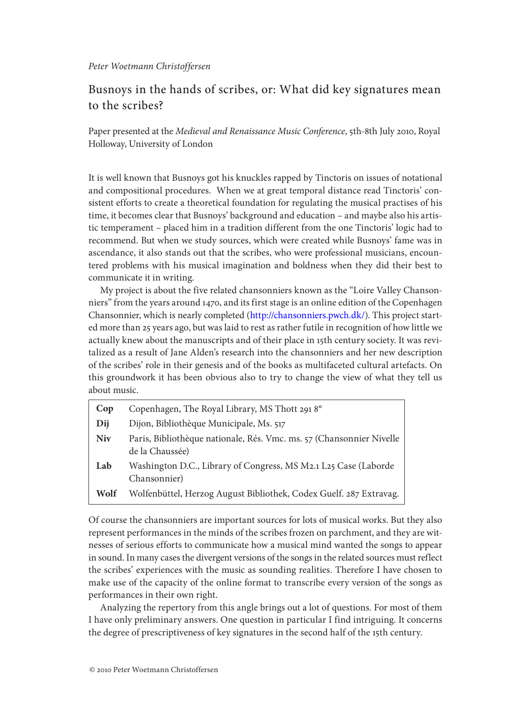# Busnoys in the hands of scribes, or: What did key signatures mean to the scribes?

Paper presented at the *Medieval and Renaissance Music Conference*, 5th-8th July 2010, Royal Holloway, University of London

It is well known that Busnoys got his knuckles rapped by Tinctoris on issues of notational and compositional procedures. When we at great temporal distance read Tinctoris' consistent efforts to create a theoretical foundation for regulating the musical practises of his time, it becomes clear that Busnoys' background and education – and maybe also his artistic temperament – placed him in a tradition different from the one Tinctoris' logic had to recommend. But when we study sources, which were created while Busnoys' fame was in ascendance, it also stands out that the scribes, who were professional musicians, encountered problems with his musical imagination and boldness when they did their best to communicate it in writing.

My project is about the five related chansonniers known as the "Loire Valley Chansonniers" from the years around 1470, and its first stage is an online edition of the Copenhagen Chansonnier, which is nearly completed (<http://chansonniers.pwch.dk/>). This project started more than 25 years ago, but was laid to rest as rather futile in recognition of how little we actually knew about the manuscripts and of their place in 15th century society. It was revitalized as a result of Jane Alden's research into the chansonniers and her new description of the scribes' role in their genesis and of the books as multifaceted cultural artefacts. On this groundwork it has been obvious also to try to change the view of what they tell us about music.

| Cop        | Copenhagen, The Royal Library, MS Thott 2918°                                           |
|------------|-----------------------------------------------------------------------------------------|
| Dij        | Dijon, Bibliothèque Municipale, Ms. 517                                                 |
| <b>Niv</b> | Paris, Bibliothèque nationale, Rés. Vmc. ms. 57 (Chansonnier Nivelle<br>de la Chaussée) |
| Lab        | Washington D.C., Library of Congress, MS M2.1 L25 Case (Laborde<br>Chansonnier)         |
| Wolf       | Wolfenbüttel, Herzog August Bibliothek, Codex Guelf. 287 Extravag.                      |

Of course the chansonniers are important sources for lots of musical works. But they also represent performances in the minds of the scribes frozen on parchment, and they are witnesses of serious efforts to communicate how a musical mind wanted the songs to appear in sound. In many cases the divergent versions of the songs in the related sources must reflect the scribes' experiences with the music as sounding realities. Therefore I have chosen to make use of the capacity of the online format to transcribe every version of the songs as performances in their own right.

Analyzing the repertory from this angle brings out a lot of questions. For most of them I have only preliminary answers. One question in particular I find intriguing. It concerns the degree of prescriptiveness of key signatures in the second half of the 15th century.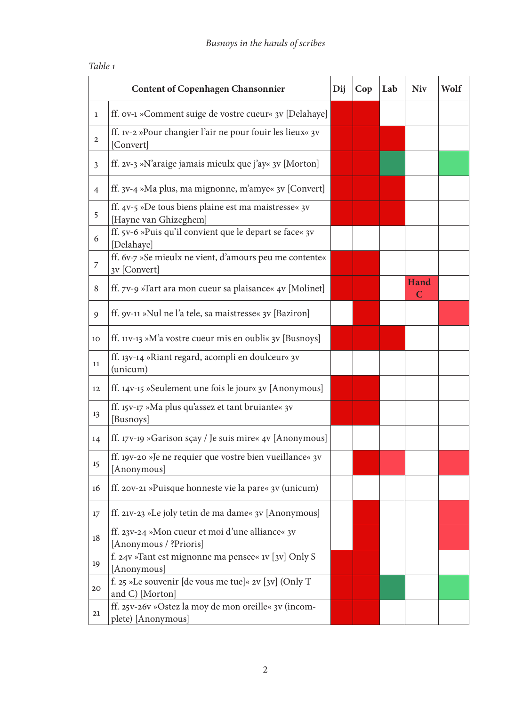| <b>Content of Copenhagen Chansonnier</b> |                                                                               |  | Cop | Lab | <b>Niv</b>       | Wolf |
|------------------------------------------|-------------------------------------------------------------------------------|--|-----|-----|------------------|------|
| $\mathbf{1}$                             | ff. ov-1 »Comment suige de vostre cueur« 3v [Delahaye]                        |  |     |     |                  |      |
| $\mathbf{2}$                             | ff. 1v-2 »Pour changier l'air ne pour fouir les lieux« 3v<br>[Convert]        |  |     |     |                  |      |
| $\mathfrak{Z}$                           | ff. 2v-3 »N'araige jamais mieulx que j'ay« 3v [Morton]                        |  |     |     |                  |      |
| $\overline{4}$                           | ff. 3v-4 »Ma plus, ma mignonne, m'amye« 3v [Convert]                          |  |     |     |                  |      |
| 5                                        | ff. 4v-5 »De tous biens plaine est ma maistresse« 3v<br>[Hayne van Ghizeghem] |  |     |     |                  |      |
| 6                                        | ff. 5v-6 »Puis qu'il convient que le depart se face« 3v<br>[Delahaye]         |  |     |     |                  |      |
| 7                                        | ff. 6v-7 »Se mieulx ne vient, d'amours peu me contente«<br>3v [Convert]       |  |     |     |                  |      |
| 8                                        | ff. 7v-9 »Tart ara mon cueur sa plaisance« 4v [Molinet]                       |  |     |     | <b>Hand</b><br>C |      |
| 9                                        | ff. 9v-11 »Nul ne l'a tele, sa maistresse« 3v [Baziron]                       |  |     |     |                  |      |
| 10                                       | ff. 11v-13 »M'a vostre cueur mis en oubli« 3v [Busnoys]                       |  |     |     |                  |      |
| 11                                       | ff. 13v-14 »Riant regard, acompli en doulceur« 3v<br>(unicum)                 |  |     |     |                  |      |
| 12                                       | ff. 14v-15 »Seulement une fois le jour« 3v [Anonymous]                        |  |     |     |                  |      |
| 13                                       | ff. 15v-17 »Ma plus qu'assez et tant bruiante« 3v<br>[Busnoys]                |  |     |     |                  |      |
| 14                                       | ff. 17v-19 »Garison sçay / Je suis mire« 4v [Anonymous]                       |  |     |     |                  |      |
| 15                                       | ff. 19v-20 »Je ne requier que vostre bien vueillance« 3v<br>[Anonymous]       |  |     |     |                  |      |
| 16                                       | ff. 20v-21 »Puisque honneste vie la pare« 3v (unicum)                         |  |     |     |                  |      |
| 17                                       | ff. 21v-23 »Le joly tetin de ma dame« 3v [Anonymous]                          |  |     |     |                  |      |
| 18                                       | ff. 23v-24 »Mon cueur et moi d'une alliance« 3v<br>[Anonymous / ?Prioris]     |  |     |     |                  |      |
| 19                                       | f. 24v »Tant est mignonne ma pensee« 1v [3v] Only S<br>[Anonymous]            |  |     |     |                  |      |
| 20                                       | f. 25 »Le souvenir [de vous me tue]« 2v [3v] (Only T<br>and C) [Morton]       |  |     |     |                  |      |
| 21                                       | ff. 25v-26v »Ostez la moy de mon oreille« 3v (incom-<br>plete) [Anonymous]    |  |     |     |                  |      |

## *Table 1*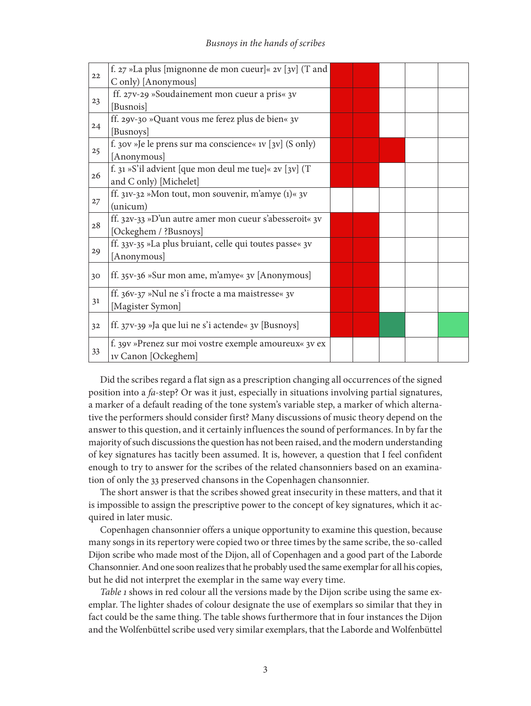| 22 | f. 27 »La plus [mignonne de mon cueur]« 2v [3v] (T and  |  |  |  |
|----|---------------------------------------------------------|--|--|--|
|    | C only) [Anonymous]                                     |  |  |  |
| 23 | ff. 27v-29 »Soudainement mon cueur a pris« 3v           |  |  |  |
|    | [Busnois]                                               |  |  |  |
| 24 | ff. 29v-30 »Quant vous me ferez plus de bien« 3v        |  |  |  |
|    | [Busnoys]                                               |  |  |  |
| 25 | f. 30v »Je le prens sur ma conscience« 1v [3v] (S only) |  |  |  |
|    | [Anonymous]                                             |  |  |  |
| 26 | f. 31 »S'il advient [que mon deul me tue]« $2v$ [3v] (T |  |  |  |
|    | and C only) [Michelet]                                  |  |  |  |
| 27 | ff. 31v-32 »Mon tout, mon souvenir, m'amye (1)« 3v      |  |  |  |
|    | (unicum)                                                |  |  |  |
| 28 | ff. 32v-33 »D'un autre amer mon cueur s'abesseroit« 3v  |  |  |  |
|    | [Ockeghem / ?Busnoys]                                   |  |  |  |
|    | ff. 33v-35 »La plus bruiant, celle qui toutes passe« 3v |  |  |  |
| 29 | [Anonymous]                                             |  |  |  |
| 30 | ff. 35v-36 »Sur mon ame, m'amye« 3v [Anonymous]         |  |  |  |
|    |                                                         |  |  |  |
| 31 | ff. 36v-37 »Nul ne s'i frocte a ma maistresse« 3v       |  |  |  |
|    | [Magister Symon]                                        |  |  |  |
| 32 | ff. 37v-39 »Ja que lui ne s'i actende« 3v [Busnoys]     |  |  |  |
|    |                                                         |  |  |  |
| 33 | f. 39v »Prenez sur moi vostre exemple amoureux« 3v ex   |  |  |  |
|    | <b>1V Canon</b> [Ockeghem]                              |  |  |  |

Did the scribes regard a flat sign as a prescription changing all occurrences of the signed position into a *fa*-step? Or was it just, especially in situations involving partial signatures, a marker of a default reading of the tone system's variable step, a marker of which alternative the performers should consider first? Many discussions of music theory depend on the answer to this question, and it certainly influences the sound of performances. In by far the majority of such discussions the question has not been raised, and the modern understanding of key signatures has tacitly been assumed. It is, however, a question that I feel confident enough to try to answer for the scribes of the related chansonniers based on an examination of only the 33 preserved chansons in the Copenhagen chansonnier.

The short answer is that the scribes showed great insecurity in these matters, and that it is impossible to assign the prescriptive power to the concept of key signatures, which it acquired in later music.

Copenhagen chansonnier offers a unique opportunity to examine this question, because many songs in its repertory were copied two or three times by the same scribe, the so-called Dijon scribe who made most of the Dijon, all of Copenhagen and a good part of the Laborde Chansonnier. And one soon realizes that he probably used the same exemplar for all his copies, but he did not interpret the exemplar in the same way every time.

*Table 1* shows in red colour all the versions made by the Dijon scribe using the same exemplar. The lighter shades of colour designate the use of exemplars so similar that they in fact could be the same thing. The table shows furthermore that in four instances the Dijon and the Wolfenbüttel scribe used very similar exemplars, that the Laborde and Wolfenbüttel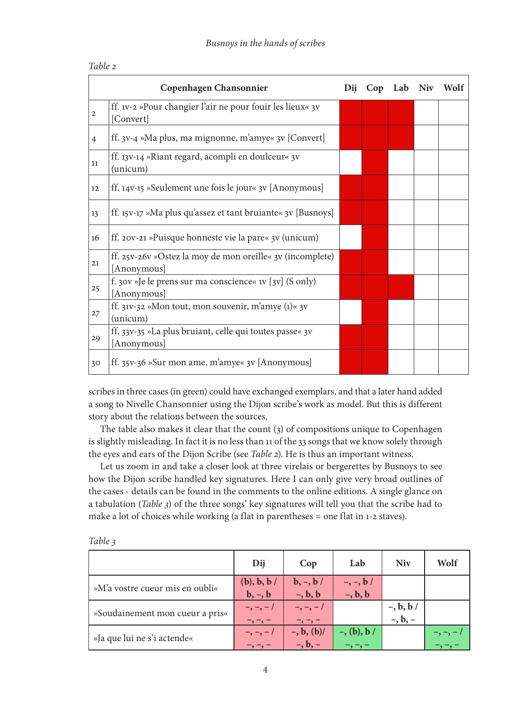|                | Copenhagen Chansonnier                                      | Dii | Cop Lab Niv | Wolf |
|----------------|-------------------------------------------------------------|-----|-------------|------|
| $\overline{2}$ | ff. 1v-2 »Pour changier l'air ne pour fouir les lieux« 3v   |     |             |      |
|                | [Convert]                                                   |     |             |      |
| $\overline{4}$ | ff. 3v-4 »Ma plus, ma mignonne, m'amye« 3v [Convert]        |     |             |      |
| 11             | ff. 13v-14 »Riant regard, acompli en doulceur« 3v           |     |             |      |
|                | (unicum)                                                    |     |             |      |
| 12             | ff. 14v-15 »Seulement une fois le jour« 3v [Anonymous]      |     |             |      |
| 13             | ff. 15v-17 »Ma plus qu'assez et tant bruiante« 3v [Busnoys] |     |             |      |
| 16             | ff. 20v-21 »Puisque honneste vie la pare« 3v (unicum)       |     |             |      |
| 21             | ff. 25v-26v »Ostez la moy de mon oreille« 3v (incomplete)   |     |             |      |
|                | [Anonymous]                                                 |     |             |      |
| 25             | f. 30v »Je le prens sur ma conscience« 1v [3v] (S only)     |     |             |      |
|                | [Anonymous]                                                 |     |             |      |
| 27             | ff. 31v-32 »Mon tout, mon souvenir, m'amye $(1)$ « 3v       |     |             |      |
|                | (unicum)                                                    |     |             |      |
|                | ff. 33v-35 »La plus bruiant, celle qui toutes passe« 3v     |     |             |      |
| 29             | [Anonymous]                                                 |     |             |      |
| 30             | ff. 35v-36 »Sur mon ame, m'amye« 3v [Anonymous]             |     |             |      |

## *Table 2*

scribes in three cases (in green) could have exchanged exemplars, and that a later hand added a song to Nivelle Chansonnier using the Dijon scribe's work as model. But this is different story about the relations between the sources.

The table also makes it clear that the count (3) of compositions unique to Copenhagen is slightly misleading. In fact it is no less than 11 of the 33 songs that we know solely through the eyes and ears of the Dijon Scribe (see *Table 2*). He is thus an important witness.

Let us zoom in and take a closer look at three virelais or bergerettes by Busnoys to see how the Dijon scribe handled key signatures. Here I can only give very broad outlines of the cases - details can be found in the comments to the online editions. A single glance on a tabulation (*Table 3*) of the three songs' key signatures will tell you that the scribe had to make a lot of choices while working (a flat in parentheses = one flat in 1-2 staves).

|                                 | Dij                                      | Cop                                                | Lab                            | <b>Niv</b>                           | Wolf                                                                                                                                 |
|---------------------------------|------------------------------------------|----------------------------------------------------|--------------------------------|--------------------------------------|--------------------------------------------------------------------------------------------------------------------------------------|
| »M'a vostre cueur mis en oubli« | (b), b, b<br>$\mathbf{b}, -, \mathbf{b}$ | $\mathbf{b}, \mathbf{-}, \mathbf{b}$<br>$-$ , b, b | $-$ , $-$ , $b/$<br>$-$ , b, b |                                      |                                                                                                                                      |
| »Soudainement mon cueur a pris« | $-$ , $-$ , $-$ /<br>$\neg, \neg, \neg$  | $-,-,-/$<br>$-$ , $-$ , $-$                        |                                | $-$ , $b$ , $b$ /<br>$-$ , $b$ , $-$ |                                                                                                                                      |
| »Ja que lui ne s'i actende«     | $-,-,-/$<br>$-$ , $-$ , $-$              | $-$ , b, $(b)$ /<br>$-$ , $b$ , $-$                | $-$ , (b), b /                 |                                      | $\overline{\phantom{a}}$ , $\overline{\phantom{a}}$ , $\overline{\phantom{a}}$ , $\overline{\phantom{a}}$ , $\overline{\phantom{a}}$ |

*Table 3*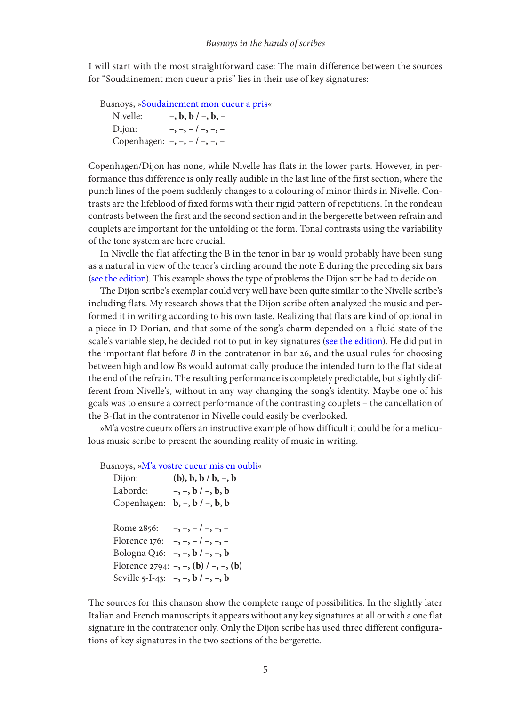I will start with the most straightforward case: The main difference between the sources for "Soudainement mon cueur a pris" lies in their use of key signatures:

Busnoys, [»Soudainement mon cueur a pris](http://chansonniers.pwch.dk/CH/CH023.html)«

Nivelle: **–, b, b / –, b, –** Dijon: **–, –, –**, –, –, – Copenhagen: **–, –, – / –, –, –**

Copenhagen/Dijon has none, while Nivelle has flats in the lower parts. However, in performance this difference is only really audible in the last line of the first section, where the punch lines of the poem suddenly changes to a colouring of minor thirds in Nivelle. Contrasts are the lifeblood of fixed forms with their rigid pattern of repetitions. In the rondeau contrasts between the first and the second section and in the bergerette between refrain and couplets are important for the unfolding of the form. Tonal contrasts using the variability of the tone system are here crucial.

In Nivelle the flat affecting the B in the tenor in bar 19 would probably have been sung as a natural in view of the tenor's circling around the note E during the preceding six bars [\(see the edition](http://chansonniers.pwch.dk/CH/CH023N29.pdf)). This example shows the type of problems the Dijon scribe had to decide on.

The Dijon scribe's exemplar could very well have been quite similar to the Nivelle scribe's including flats. My research shows that the Dijon scribe often analyzed the music and performed it in writing according to his own taste. Realizing that flats are kind of optional in a piece in D-Dorian, and that some of the song's charm depended on a fluid state of the scale's variable step, he decided not to put in key signatures [\(see the edition\)](http://chansonniers.pwch.dk/CH/CH023C23.pdf). He did put in the important flat before *B* in the contratenor in bar 26, and the usual rules for choosing between high and low Bs would automatically produce the intended turn to the flat side at the end of the refrain. The resulting performance is completely predictable, but slightly different from Nivelle's, without in any way changing the song's identity. Maybe one of his goals was to ensure a correct performance of the contrasting couplets – the cancellation of the B-flat in the contratenor in Nivelle could easily be overlooked.

»M'a vostre cueur« offers an instructive example of how difficult it could be for a meticulous music scribe to present the sounding reality of music in writing.

Busnoys, [»M'a vostre cueur mis en oubli](http://chansonniers.pwch.dk/CH/CH010.html)«

| Dijon:      | $(b), b, b / b, -, b$                                    |
|-------------|----------------------------------------------------------|
| Laborde:    | $-$ , $-$ , $b$ / $-$ , $b$ , $b$                        |
| Copenhagen: | $b, -, b / -, b, b$                                      |
|             |                                                          |
| Rome 2856:  | $-,-,-/-,-,-$                                            |
|             | Florence 176: $-$ , $-$ , $-$ / $-$ , $-$ , $-$          |
|             | Bologna Q16: $-$ , $-$ , $b$ / $-$ , $-$ , $b$           |
|             | Florence 2794: -, -, ( <b>b</b> ) $/$ -, -, ( <b>b</b> ) |
|             | Seville 5-I-43: $-$ , $-$ , $b$ / $-$ , $-$ , $b$        |
|             |                                                          |

The sources for this chanson show the complete range of possibilities. In the slightly later Italian and French manuscripts it appears without any key signatures at all or with a one flat signature in the contratenor only. Only the Dijon scribe has used three different configurations of key signatures in the two sections of the bergerette.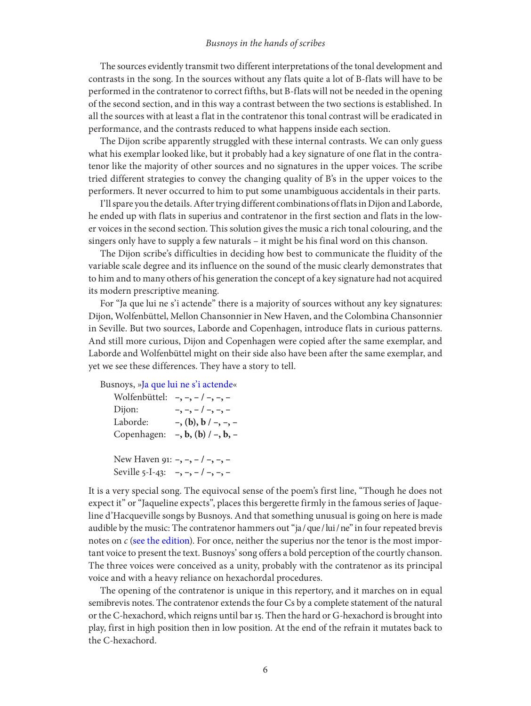### *Busnoys in the hands of scribes*

The sources evidently transmit two different interpretations of the tonal development and contrasts in the song. In the sources without any flats quite a lot of B-flats will have to be performed in the contratenor to correct fifths, but B-flats will not be needed in the opening of the second section, and in this way a contrast between the two sections is established. In all the sources with at least a flat in the contratenor this tonal contrast will be eradicated in performance, and the contrasts reduced to what happens inside each section.

The Dijon scribe apparently struggled with these internal contrasts. We can only guess what his exemplar looked like, but it probably had a key signature of one flat in the contratenor like the majority of other sources and no signatures in the upper voices. The scribe tried different strategies to convey the changing quality of B's in the upper voices to the performers. It never occurred to him to put some unambiguous accidentals in their parts.

I'll spare you the details. After trying different combinations of flats in Dijon and Laborde, he ended up with flats in superius and contratenor in the first section and flats in the lower voices in the second section. This solution gives the music a rich tonal colouring, and the singers only have to supply a few naturals – it might be his final word on this chanson.

The Dijon scribe's difficulties in deciding how best to communicate the fluidity of the variable scale degree and its influence on the sound of the music clearly demonstrates that to him and to many others of his generation the concept of a key signature had not acquired its modern prescriptive meaning.

For "Ja que lui ne s'i actende" there is a majority of sources without any key signatures: Dijon, Wolfenbüttel, Mellon Chansonnier in New Haven, and the Colombina Chansonnier in Seville. But two sources, Laborde and Copenhagen, introduce flats in curious patterns. And still more curious, Dijon and Copenhagen were copied after the same exemplar, and Laborde and Wolfenbüttel might on their side also have been after the same exemplar, and yet we see these differences. They have a story to tell.

Busnoys, [»Ja que lui ne s'i actende](http://chansonniers.pwch.dk/CH/CH032.html)«

Wolfenbüttel: **–, –, – / –, –, –** Dijon: –, –, – / –, –, – Laborde: **–, (b), b / –, –, –** Copenhagen: **–, b, (b) / –, b, –** New Haven 91: **–, –, – / –, –, –** Seville 5-I-43: **–, –, – / –, –, –**

It is a very special song. The equivocal sense of the poem's first line, "Though he does not expect it" or "Jaqueline expects", places this bergerette firmly in the famous series of Jaqueline d'Hacqueville songs by Busnoys. And that something unusual is going on here is made audible by the music: The contratenor hammers out "ja / que / lui / ne" in four repeated brevis notes on  $c$  [\(see the edition](http://chansonniers.pwch.dk/CH/CH032D052.pdf)). For once, neither the superius nor the tenor is the most important voice to present the text. Busnoys' song offers a bold perception of the courtly chanson. The three voices were conceived as a unity, probably with the contratenor as its principal voice and with a heavy reliance on hexachordal procedures.

The opening of the contratenor is unique in this repertory, and it marches on in equal semibrevis notes. The contratenor extends the four Cs by a complete statement of the natural or the C-hexachord, which reigns until bar 15. Then the hard or G-hexachord is brought into play, first in high position then in low position. At the end of the refrain it mutates back to the C-hexachord.